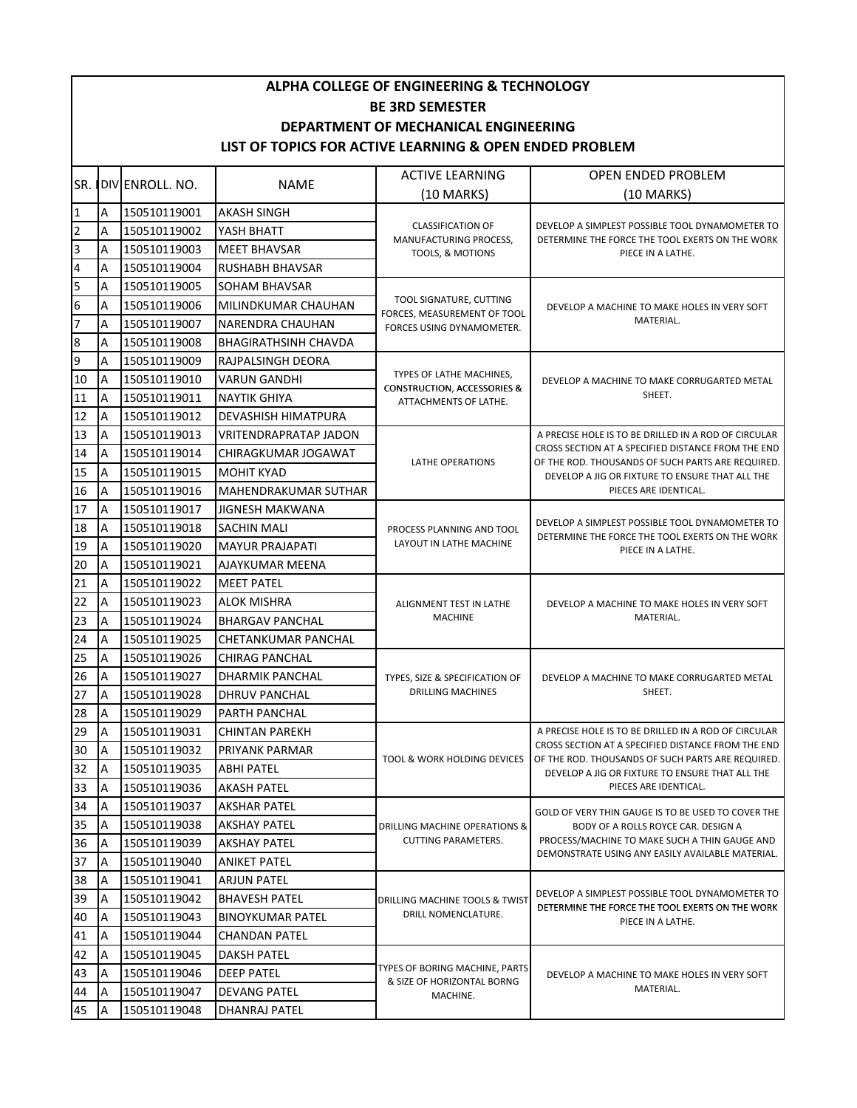| <b>ALPHA COLLEGE OF ENGINEERING &amp; TECHNOLOGY</b><br><b>BE 3RD SEMESTER</b> |                                                         |                 |                              |                                                             |                                                                                                                                                                                                                    |  |  |  |  |  |
|--------------------------------------------------------------------------------|---------------------------------------------------------|-----------------|------------------------------|-------------------------------------------------------------|--------------------------------------------------------------------------------------------------------------------------------------------------------------------------------------------------------------------|--|--|--|--|--|
|                                                                                |                                                         |                 |                              |                                                             |                                                                                                                                                                                                                    |  |  |  |  |  |
| DEPARTMENT OF MECHANICAL ENGINEERING                                           |                                                         |                 |                              |                                                             |                                                                                                                                                                                                                    |  |  |  |  |  |
|                                                                                | LIST OF TOPICS FOR ACTIVE LEARNING & OPEN ENDED PROBLEM |                 |                              |                                                             |                                                                                                                                                                                                                    |  |  |  |  |  |
| SR.                                                                            |                                                         | DIV ENROLL. NO. | <b>NAME</b>                  | <b>ACTIVE LEARNING</b>                                      | <b>OPEN ENDED PROBLEM</b>                                                                                                                                                                                          |  |  |  |  |  |
|                                                                                |                                                         |                 |                              | (10 MARKS)                                                  | $(10$ MARKS)                                                                                                                                                                                                       |  |  |  |  |  |
| $\mathbf{1}$                                                                   | Α                                                       | 150510119001    | <b>AKASH SINGH</b>           |                                                             |                                                                                                                                                                                                                    |  |  |  |  |  |
| $\overline{\mathbf{c}}$                                                        | A                                                       | 150510119002    | YASH BHATT                   | <b>CLASSIFICATION OF</b><br>MANUFACTURING PROCESS,          | DEVELOP A SIMPLEST POSSIBLE TOOL DYNAMOMETER TO<br>DETERMINE THE FORCE THE TOOL EXERTS ON THE WORK                                                                                                                 |  |  |  |  |  |
| 3                                                                              | A                                                       | 150510119003    | <b>MEET BHAVSAR</b>          | <b>TOOLS, &amp; MOTIONS</b>                                 | PIECE IN A LATHE.                                                                                                                                                                                                  |  |  |  |  |  |
| 4                                                                              | A                                                       | 150510119004    | <b>RUSHABH BHAVSAR</b>       |                                                             |                                                                                                                                                                                                                    |  |  |  |  |  |
| 5                                                                              | A                                                       | 150510119005    | SOHAM BHAVSAR                |                                                             | DEVELOP A MACHINE TO MAKE HOLES IN VERY SOFT<br>MATERIAL.                                                                                                                                                          |  |  |  |  |  |
| $6\overline{6}$                                                                | Α                                                       | 150510119006    | MILINDKUMAR CHAUHAN          | TOOL SIGNATURE, CUTTING<br>FORCES, MEASUREMENT OF TOOL      |                                                                                                                                                                                                                    |  |  |  |  |  |
| $\overline{7}$                                                                 | Α                                                       | 150510119007    | NARENDRA CHAUHAN             | FORCES USING DYNAMOMETER.                                   |                                                                                                                                                                                                                    |  |  |  |  |  |
| 8                                                                              | A                                                       | 150510119008    | <b>BHAGIRATHSINH CHAVDA</b>  |                                                             |                                                                                                                                                                                                                    |  |  |  |  |  |
| 9                                                                              | A                                                       | 150510119009    | RAJPALSINGH DEORA            | TYPES OF LATHE MACHINES,                                    |                                                                                                                                                                                                                    |  |  |  |  |  |
| 10                                                                             | A                                                       | 150510119010    | <b>VARUN GANDHI</b>          | <b>CONSTRUCTION, ACCESSORIES &amp;</b>                      | DEVELOP A MACHINE TO MAKE CORRUGARTED METAL                                                                                                                                                                        |  |  |  |  |  |
| 11                                                                             | А                                                       | 150510119011    | <b>NAYTIK GHIYA</b>          | ATTACHMENTS OF LATHE.                                       | SHEET.                                                                                                                                                                                                             |  |  |  |  |  |
| 12                                                                             | Α                                                       | 150510119012    | <b>DEVASHISH HIMATPURA</b>   |                                                             |                                                                                                                                                                                                                    |  |  |  |  |  |
| 13                                                                             | А                                                       | 150510119013    | <b>VRITENDRAPRATAP JADON</b> |                                                             | A PRECISE HOLE IS TO BE DRILLED IN A ROD OF CIRCULAR<br>CROSS SECTION AT A SPECIFIED DISTANCE FROM THE END<br>OF THE ROD. THOUSANDS OF SUCH PARTS ARE REQUIRED.<br>DEVELOP A JIG OR FIXTURE TO ENSURE THAT ALL THE |  |  |  |  |  |
| 14                                                                             | A                                                       | 150510119014    | CHIRAGKUMAR JOGAWAT          | LATHE OPERATIONS                                            |                                                                                                                                                                                                                    |  |  |  |  |  |
| 15                                                                             | A                                                       | 150510119015    | <b>MOHIT KYAD</b>            |                                                             |                                                                                                                                                                                                                    |  |  |  |  |  |
| 16                                                                             | A                                                       | 150510119016    | <b>MAHENDRAKUMAR SUTHAR</b>  |                                                             | PIECES ARE IDENTICAL.                                                                                                                                                                                              |  |  |  |  |  |
| 17                                                                             | А                                                       | 150510119017    | <b>JIGNESH MAKWANA</b>       |                                                             | DEVELOP A SIMPLEST POSSIBLE TOOL DYNAMOMETER TO                                                                                                                                                                    |  |  |  |  |  |
| 18                                                                             | Α                                                       | 150510119018    | <b>SACHIN MALI</b>           | PROCESS PLANNING AND TOOL                                   | DETERMINE THE FORCE THE TOOL EXERTS ON THE WORK<br>PIECE IN A LATHE.                                                                                                                                               |  |  |  |  |  |
| 19                                                                             | Α                                                       | 150510119020    | <b>MAYUR PRAJAPATI</b>       | LAYOUT IN LATHE MACHINE                                     |                                                                                                                                                                                                                    |  |  |  |  |  |
| 20                                                                             | Α                                                       | 150510119021    | AJAYKUMAR MEENA              |                                                             |                                                                                                                                                                                                                    |  |  |  |  |  |
| 21                                                                             | A                                                       | 150510119022    | <b>MEET PATEL</b>            |                                                             | DEVELOP A MACHINE TO MAKE HOLES IN VERY SOFT<br>MATERIAL.                                                                                                                                                          |  |  |  |  |  |
| 22                                                                             | A                                                       | 150510119023    | <b>ALOK MISHRA</b>           | ALIGNMENT TEST IN LATHE                                     |                                                                                                                                                                                                                    |  |  |  |  |  |
| 23                                                                             | Α                                                       | 150510119024    | <b>BHARGAV PANCHAL</b>       | <b>MACHINE</b>                                              |                                                                                                                                                                                                                    |  |  |  |  |  |
| 24                                                                             | Α                                                       | 150510119025    | <b>CHETANKUMAR PANCHAL</b>   |                                                             |                                                                                                                                                                                                                    |  |  |  |  |  |
| 25                                                                             | Α                                                       | 150510119026    | <b>CHIRAG PANCHAL</b>        |                                                             | DEVELOP A MACHINE TO MAKE CORRUGARTED METAL<br>SHEET.                                                                                                                                                              |  |  |  |  |  |
| 26                                                                             | Α                                                       | 150510119027    | <b>DHARMIK PANCHAL</b>       | TYPES, SIZE & SPECIFICATION OF<br>DRILLING MACHINES         |                                                                                                                                                                                                                    |  |  |  |  |  |
| 27                                                                             | $\overline{A}$                                          | 150510119028    | <b>DHRUV PANCHAL</b>         |                                                             |                                                                                                                                                                                                                    |  |  |  |  |  |
| 28                                                                             | A                                                       | 150510119029    | PARTH PANCHAL                |                                                             |                                                                                                                                                                                                                    |  |  |  |  |  |
| 29                                                                             | Α                                                       | 150510119031    | <b>CHINTAN PAREKH</b>        | TOOL & WORK HOLDING DEVICES                                 | A PRECISE HOLE IS TO BE DRILLED IN A ROD OF CIRCULAR<br>CROSS SECTION AT A SPECIFIED DISTANCE FROM THE END<br>OF THE ROD. THOUSANDS OF SUCH PARTS ARE REQUIRED.<br>DEVELOP A JIG OR FIXTURE TO ENSURE THAT ALL THE |  |  |  |  |  |
| 30                                                                             | Α                                                       | 150510119032    | PRIYANK PARMAR               |                                                             |                                                                                                                                                                                                                    |  |  |  |  |  |
| 32                                                                             | Α                                                       | 150510119035    | ABHI PATEL                   |                                                             |                                                                                                                                                                                                                    |  |  |  |  |  |
| 33                                                                             | Α                                                       | 150510119036    | <b>AKASH PATEL</b>           |                                                             | PIECES ARE IDENTICAL.                                                                                                                                                                                              |  |  |  |  |  |
| 34                                                                             | Α                                                       | 150510119037    | AKSHAR PATEL                 | DRILLING MACHINE OPERATIONS &<br><b>CUTTING PARAMETERS.</b> | GOLD OF VERY THIN GAUGE IS TO BE USED TO COVER THE<br>BODY OF A ROLLS ROYCE CAR. DESIGN A<br>PROCESS/MACHINE TO MAKE SUCH A THIN GAUGE AND<br>DEMONSTRATE USING ANY EASILY AVAILABLE MATERIAL.                     |  |  |  |  |  |
| 35                                                                             | Α                                                       | 150510119038    | AKSHAY PATEL                 |                                                             |                                                                                                                                                                                                                    |  |  |  |  |  |
| 36                                                                             | A                                                       | 150510119039    | <b>AKSHAY PATEL</b>          |                                                             |                                                                                                                                                                                                                    |  |  |  |  |  |
| 37                                                                             | Α                                                       | 150510119040    | <b>ANIKET PATEL</b>          |                                                             |                                                                                                                                                                                                                    |  |  |  |  |  |
| 38                                                                             | Α                                                       | 150510119041    | <b>ARJUN PATEL</b>           |                                                             | DEVELOP A SIMPLEST POSSIBLE TOOL DYNAMOMETER TO<br>DETERMINE THE FORCE THE TOOL EXERTS ON THE WORK<br>PIECE IN A LATHE.                                                                                            |  |  |  |  |  |
| 39                                                                             | Α                                                       | 150510119042    | <b>BHAVESH PATEL</b>         | DRILLING MACHINE TOOLS & TWIST<br>DRILL NOMENCLATURE.       |                                                                                                                                                                                                                    |  |  |  |  |  |
| 40                                                                             | Α                                                       | 150510119043    | <b>BINOYKUMAR PATEL</b>      |                                                             |                                                                                                                                                                                                                    |  |  |  |  |  |
| 41                                                                             | A                                                       | 150510119044    | CHANDAN PATEL                |                                                             |                                                                                                                                                                                                                    |  |  |  |  |  |
| 42                                                                             | Α                                                       | 150510119045    | <b>DAKSH PATEL</b>           | TYPES OF BORING MACHINE, PARTS                              |                                                                                                                                                                                                                    |  |  |  |  |  |
| 43                                                                             | A                                                       | 150510119046    | <b>DEEP PATEL</b>            | & SIZE OF HORIZONTAL BORNG<br>MACHINE.                      | DEVELOP A MACHINE TO MAKE HOLES IN VERY SOFT<br>MATERIAL.                                                                                                                                                          |  |  |  |  |  |
| 44                                                                             | Α                                                       | 150510119047    | <b>DEVANG PATEL</b>          |                                                             |                                                                                                                                                                                                                    |  |  |  |  |  |
| 45                                                                             | A                                                       | 150510119048    | DHANRAJ PATEL                |                                                             |                                                                                                                                                                                                                    |  |  |  |  |  |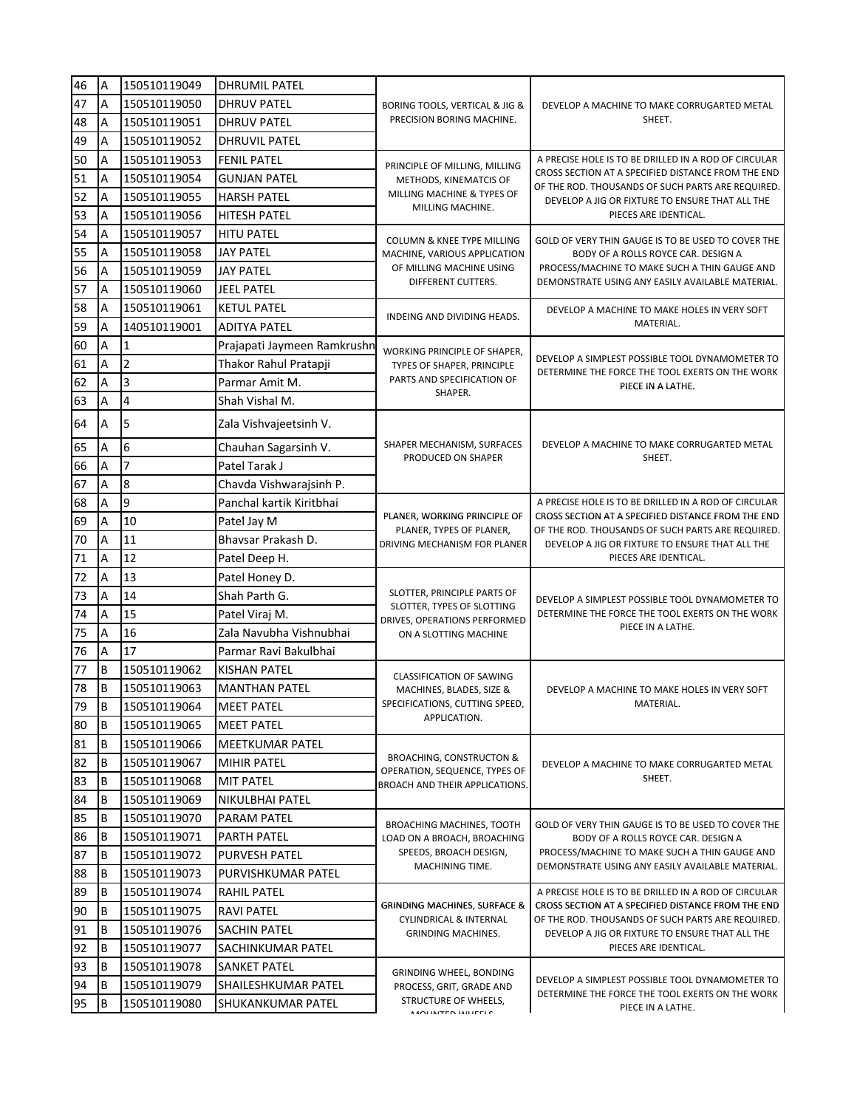| 47<br>150510119050<br>Α<br><b>DHRUV PATEL</b><br>BORING TOOLS, VERTICAL & JIG &<br>DEVELOP A MACHINE TO MAKE CORRUGARTED METAL<br>PRECISION BORING MACHINE.<br>SHEET.<br>48<br>A<br>150510119051<br><b>DHRUV PATEL</b><br>49<br>A<br>150510119052<br><b>DHRUVIL PATEL</b><br>50<br>A<br>150510119053<br><b>FENIL PATEL</b><br>A PRECISE HOLE IS TO BE DRILLED IN A ROD OF CIRCULAR<br>PRINCIPLE OF MILLING, MILLING<br>CROSS SECTION AT A SPECIFIED DISTANCE FROM THE END<br>51<br>150510119054<br><b>GUNJAN PATEL</b><br>Α<br>METHODS, KINEMATCIS OF<br>OF THE ROD. THOUSANDS OF SUCH PARTS ARE REQUIRED.<br>MILLING MACHINE & TYPES OF<br>52<br>150510119055<br>Α<br>HARSH PATEL<br>DEVELOP A JIG OR FIXTURE TO ENSURE THAT ALL THE<br>MILLING MACHINE.<br>53<br>150510119056<br><b>HITESH PATEL</b><br>PIECES ARE IDENTICAL.<br>Α<br>54<br>A<br>150510119057<br><b>HITU PATEL</b><br>COLUMN & KNEE TYPE MILLING<br>GOLD OF VERY THIN GAUGE IS TO BE USED TO COVER THE<br>55<br>A<br>150510119058<br><b>JAY PATEL</b><br>MACHINE, VARIOUS APPLICATION<br>BODY OF A ROLLS ROYCE CAR. DESIGN A<br>OF MILLING MACHINE USING<br>PROCESS/MACHINE TO MAKE SUCH A THIN GAUGE AND<br>56<br>150510119059<br><b>JAY PATEL</b><br>A<br>DIFFERENT CUTTERS.<br>DEMONSTRATE USING ANY EASILY AVAILABLE MATERIAL.<br>57<br>150510119060<br>Α<br>JEEL PATEL<br>58<br>A<br>150510119061<br><b>KETUL PATEL</b><br>DEVELOP A MACHINE TO MAKE HOLES IN VERY SOFT<br>INDEING AND DIVIDING HEADS.<br>MATERIAL.<br>59<br>140510119001<br>A<br>ADITYA PATEL<br>60<br>A<br>1<br>Prajapati Jaymeen Ramkrushn<br>WORKING PRINCIPLE OF SHAPER,<br>DEVELOP A SIMPLEST POSSIBLE TOOL DYNAMOMETER TO<br>2<br>61<br>Α<br>Thakor Rahul Pratapji<br>TYPES OF SHAPER, PRINCIPLE<br>DETERMINE THE FORCE THE TOOL EXERTS ON THE WORK<br>PARTS AND SPECIFICATION OF<br>62<br>3<br>A<br>Parmar Amit M.<br>PIECE IN A LATHE.<br>SHAPER.<br>$\overline{4}$<br>63<br>Shah Vishal M.<br>A<br>5<br>64<br>Α<br>Zala Vishvajeetsinh V.<br>SHAPER MECHANISM, SURFACES<br>DEVELOP A MACHINE TO MAKE CORRUGARTED METAL<br>6<br>65<br>Chauhan Sagarsinh V.<br>А<br>PRODUCED ON SHAPER<br>SHEET.<br>$\overline{7}$<br>Patel Tarak J<br>66<br>Α<br>67<br>8<br>A<br>Chavda Vishwarajsinh P.<br>9<br>68<br>Panchal kartik Kiritbhai<br>A PRECISE HOLE IS TO BE DRILLED IN A ROD OF CIRCULAR<br>Α<br>PLANER, WORKING PRINCIPLE OF<br>CROSS SECTION AT A SPECIFIED DISTANCE FROM THE END<br>69<br>10<br>A<br>Patel Jay M<br>PLANER, TYPES OF PLANER,<br>OF THE ROD. THOUSANDS OF SUCH PARTS ARE REQUIRED.<br>11<br>70<br>A<br>Bhavsar Prakash D.<br>DRIVING MECHANISM FOR PLANER<br>DEVELOP A JIG OR FIXTURE TO ENSURE THAT ALL THE<br>12<br>71<br>A<br>PIECES ARE IDENTICAL.<br>Patel Deep H.<br>72<br>13<br>Patel Honey D.<br>A<br>SLOTTER, PRINCIPLE PARTS OF<br>14<br>73<br>Shah Parth G.<br>Α<br>DEVELOP A SIMPLEST POSSIBLE TOOL DYNAMOMETER TO<br>SLOTTER, TYPES OF SLOTTING<br>74<br>15<br>DETERMINE THE FORCE THE TOOL EXERTS ON THE WORK<br>А<br>Patel Viraj M.<br>DRIVES, OPERATIONS PERFORMED<br>PIECE IN A LATHE.<br>75<br>16<br>Zala Navubha Vishnubhai<br>Α<br>ON A SLOTTING MACHINE<br>17<br>76<br>A<br>Parmar Ravi Bakulbhai<br>77<br>B<br>150510119062<br><b>KISHAN PATEL</b><br><b>CLASSIFICATION OF SAWING</b><br>B<br>78<br>150510119063<br><b>MANTHAN PATEL</b><br>MACHINES, BLADES, SIZE &<br>DEVELOP A MACHINE TO MAKE HOLES IN VERY SOFT<br>79<br>SPECIFICATIONS, CUTTING SPEED,<br>MATERIAL.<br>150510119064<br><b>MEET PATEL</b><br>B<br>APPLICATION.<br>80<br>B<br>150510119065<br><b>MEET PATEL</b><br>81<br>B<br>150510119066<br>MEETKUMAR PATEL<br>BROACHING, CONSTRUCTON &<br>82<br>B<br>150510119067<br><b>MIHIR PATEL</b><br>DEVELOP A MACHINE TO MAKE CORRUGARTED METAL<br>OPERATION, SEQUENCE, TYPES OF<br>SHEET.<br>83<br>B<br>150510119068<br><b>MIT PATEL</b><br><b>BROACH AND THEIR APPLICATIONS.</b><br>84<br>B<br>150510119069<br>NIKULBHAI PATEL<br>85<br>B<br>150510119070<br>PARAM PATEL<br><b>BROACHING MACHINES, TOOTH</b><br>GOLD OF VERY THIN GAUGE IS TO BE USED TO COVER THE<br>86<br>B<br>150510119071<br><b>PARTH PATEL</b><br>LOAD ON A BROACH, BROACHING<br>BODY OF A ROLLS ROYCE CAR. DESIGN A<br>SPEEDS, BROACH DESIGN,<br>PROCESS/MACHINE TO MAKE SUCH A THIN GAUGE AND<br>B<br>150510119072<br><b>PURVESH PATEL</b><br>MACHINING TIME.<br>DEMONSTRATE USING ANY EASILY AVAILABLE MATERIAL.<br>88<br>B<br>150510119073<br>PURVISHKUMAR PATEL<br>89<br>B<br>150510119074<br>RAHIL PATEL<br>A PRECISE HOLE IS TO BE DRILLED IN A ROD OF CIRCULAR<br>CROSS SECTION AT A SPECIFIED DISTANCE FROM THE END<br><b>GRINDING MACHINES, SURFACE &amp;</b><br>90<br>B<br>150510119075<br>RAVI PATEL<br><b>CYLINDRICAL &amp; INTERNAL</b><br>OF THE ROD. THOUSANDS OF SUCH PARTS ARE REQUIRED.<br>91<br>B<br>150510119076<br>SACHIN PATEL<br>DEVELOP A JIG OR FIXTURE TO ENSURE THAT ALL THE<br><b>GRINDING MACHINES.</b><br>92<br>B<br>150510119077<br>SACHINKUMAR PATEL<br>PIECES ARE IDENTICAL.<br>93<br>B<br>150510119078<br>SANKET PATEL<br>GRINDING WHEEL, BONDING<br>DEVELOP A SIMPLEST POSSIBLE TOOL DYNAMOMETER TO<br>94<br>B<br>150510119079<br>SHAILESHKUMAR PATEL<br>PROCESS, GRIT, GRADE AND<br>DETERMINE THE FORCE THE TOOL EXERTS ON THE WORK<br>STRUCTURE OF WHEELS,<br>B<br>150510119080<br>SHUKANKUMAR PATEL<br>PIECE IN A LATHE.<br>MANIMITED MULETLE | 46 | $\overline{A}$ | 150510119049 | <b>DHRUMIL PATEL</b> |  |  |
|------------------------------------------------------------------------------------------------------------------------------------------------------------------------------------------------------------------------------------------------------------------------------------------------------------------------------------------------------------------------------------------------------------------------------------------------------------------------------------------------------------------------------------------------------------------------------------------------------------------------------------------------------------------------------------------------------------------------------------------------------------------------------------------------------------------------------------------------------------------------------------------------------------------------------------------------------------------------------------------------------------------------------------------------------------------------------------------------------------------------------------------------------------------------------------------------------------------------------------------------------------------------------------------------------------------------------------------------------------------------------------------------------------------------------------------------------------------------------------------------------------------------------------------------------------------------------------------------------------------------------------------------------------------------------------------------------------------------------------------------------------------------------------------------------------------------------------------------------------------------------------------------------------------------------------------------------------------------------------------------------------------------------------------------------------------------------------------------------------------------------------------------------------------------------------------------------------------------------------------------------------------------------------------------------------------------------------------------------------------------------------------------------------------------------------------------------------------------------------------------------------------------------------------------------------------------------------------------------------------------------------------------------------------------------------------------------------------------------------------------------------------------------------------------------------------------------------------------------------------------------------------------------------------------------------------------------------------------------------------------------------------------------------------------------------------------------------------------------------------------------------------------------------------------------------------------------------------------------------------------------------------------------------------------------------------------------------------------------------------------------------------------------------------------------------------------------------------------------------------------------------------------------------------------------------------------------------------------------------------------------------------------------------------------------------------------------------------------------------------------------------------------------------------------------------------------------------------------------------------------------------------------------------------------------------------------------------------------------------------------------------------------------------------------------------------------------------------------------------------------------------------------------------------------------------------------------------------------------------------------------------------------------------------------------------------------------------------------------------------------------------------------------------------------------------------------------------------------------------------------------------------------------------------------------------------------------------------------------------------------------------------------------------------------------------------------------------------------------------------------------------------------------------------------------------------------------------------------------------------------------------------------------------------------------------------------------------------------------------------------------------------------------------------------------------------------------------------------------------------------------------------------------------------------------------------------------------------------------------------------------------------------------------------------------------------------------------------------------------------|----|----------------|--------------|----------------------|--|--|
|                                                                                                                                                                                                                                                                                                                                                                                                                                                                                                                                                                                                                                                                                                                                                                                                                                                                                                                                                                                                                                                                                                                                                                                                                                                                                                                                                                                                                                                                                                                                                                                                                                                                                                                                                                                                                                                                                                                                                                                                                                                                                                                                                                                                                                                                                                                                                                                                                                                                                                                                                                                                                                                                                                                                                                                                                                                                                                                                                                                                                                                                                                                                                                                                                                                                                                                                                                                                                                                                                                                                                                                                                                                                                                                                                                                                                                                                                                                                                                                                                                                                                                                                                                                                                                                                                                                                                                                                                                                                                                                                                                                                                                                                                                                                                                                                                                                                                                                                                                                                                                                                                                                                                                                                                                                                                                                                                                  |    |                |              |                      |  |  |
|                                                                                                                                                                                                                                                                                                                                                                                                                                                                                                                                                                                                                                                                                                                                                                                                                                                                                                                                                                                                                                                                                                                                                                                                                                                                                                                                                                                                                                                                                                                                                                                                                                                                                                                                                                                                                                                                                                                                                                                                                                                                                                                                                                                                                                                                                                                                                                                                                                                                                                                                                                                                                                                                                                                                                                                                                                                                                                                                                                                                                                                                                                                                                                                                                                                                                                                                                                                                                                                                                                                                                                                                                                                                                                                                                                                                                                                                                                                                                                                                                                                                                                                                                                                                                                                                                                                                                                                                                                                                                                                                                                                                                                                                                                                                                                                                                                                                                                                                                                                                                                                                                                                                                                                                                                                                                                                                                                  |    |                |              |                      |  |  |
|                                                                                                                                                                                                                                                                                                                                                                                                                                                                                                                                                                                                                                                                                                                                                                                                                                                                                                                                                                                                                                                                                                                                                                                                                                                                                                                                                                                                                                                                                                                                                                                                                                                                                                                                                                                                                                                                                                                                                                                                                                                                                                                                                                                                                                                                                                                                                                                                                                                                                                                                                                                                                                                                                                                                                                                                                                                                                                                                                                                                                                                                                                                                                                                                                                                                                                                                                                                                                                                                                                                                                                                                                                                                                                                                                                                                                                                                                                                                                                                                                                                                                                                                                                                                                                                                                                                                                                                                                                                                                                                                                                                                                                                                                                                                                                                                                                                                                                                                                                                                                                                                                                                                                                                                                                                                                                                                                                  |    |                |              |                      |  |  |
|                                                                                                                                                                                                                                                                                                                                                                                                                                                                                                                                                                                                                                                                                                                                                                                                                                                                                                                                                                                                                                                                                                                                                                                                                                                                                                                                                                                                                                                                                                                                                                                                                                                                                                                                                                                                                                                                                                                                                                                                                                                                                                                                                                                                                                                                                                                                                                                                                                                                                                                                                                                                                                                                                                                                                                                                                                                                                                                                                                                                                                                                                                                                                                                                                                                                                                                                                                                                                                                                                                                                                                                                                                                                                                                                                                                                                                                                                                                                                                                                                                                                                                                                                                                                                                                                                                                                                                                                                                                                                                                                                                                                                                                                                                                                                                                                                                                                                                                                                                                                                                                                                                                                                                                                                                                                                                                                                                  |    |                |              |                      |  |  |
|                                                                                                                                                                                                                                                                                                                                                                                                                                                                                                                                                                                                                                                                                                                                                                                                                                                                                                                                                                                                                                                                                                                                                                                                                                                                                                                                                                                                                                                                                                                                                                                                                                                                                                                                                                                                                                                                                                                                                                                                                                                                                                                                                                                                                                                                                                                                                                                                                                                                                                                                                                                                                                                                                                                                                                                                                                                                                                                                                                                                                                                                                                                                                                                                                                                                                                                                                                                                                                                                                                                                                                                                                                                                                                                                                                                                                                                                                                                                                                                                                                                                                                                                                                                                                                                                                                                                                                                                                                                                                                                                                                                                                                                                                                                                                                                                                                                                                                                                                                                                                                                                                                                                                                                                                                                                                                                                                                  |    |                |              |                      |  |  |
|                                                                                                                                                                                                                                                                                                                                                                                                                                                                                                                                                                                                                                                                                                                                                                                                                                                                                                                                                                                                                                                                                                                                                                                                                                                                                                                                                                                                                                                                                                                                                                                                                                                                                                                                                                                                                                                                                                                                                                                                                                                                                                                                                                                                                                                                                                                                                                                                                                                                                                                                                                                                                                                                                                                                                                                                                                                                                                                                                                                                                                                                                                                                                                                                                                                                                                                                                                                                                                                                                                                                                                                                                                                                                                                                                                                                                                                                                                                                                                                                                                                                                                                                                                                                                                                                                                                                                                                                                                                                                                                                                                                                                                                                                                                                                                                                                                                                                                                                                                                                                                                                                                                                                                                                                                                                                                                                                                  |    |                |              |                      |  |  |
|                                                                                                                                                                                                                                                                                                                                                                                                                                                                                                                                                                                                                                                                                                                                                                                                                                                                                                                                                                                                                                                                                                                                                                                                                                                                                                                                                                                                                                                                                                                                                                                                                                                                                                                                                                                                                                                                                                                                                                                                                                                                                                                                                                                                                                                                                                                                                                                                                                                                                                                                                                                                                                                                                                                                                                                                                                                                                                                                                                                                                                                                                                                                                                                                                                                                                                                                                                                                                                                                                                                                                                                                                                                                                                                                                                                                                                                                                                                                                                                                                                                                                                                                                                                                                                                                                                                                                                                                                                                                                                                                                                                                                                                                                                                                                                                                                                                                                                                                                                                                                                                                                                                                                                                                                                                                                                                                                                  |    |                |              |                      |  |  |
|                                                                                                                                                                                                                                                                                                                                                                                                                                                                                                                                                                                                                                                                                                                                                                                                                                                                                                                                                                                                                                                                                                                                                                                                                                                                                                                                                                                                                                                                                                                                                                                                                                                                                                                                                                                                                                                                                                                                                                                                                                                                                                                                                                                                                                                                                                                                                                                                                                                                                                                                                                                                                                                                                                                                                                                                                                                                                                                                                                                                                                                                                                                                                                                                                                                                                                                                                                                                                                                                                                                                                                                                                                                                                                                                                                                                                                                                                                                                                                                                                                                                                                                                                                                                                                                                                                                                                                                                                                                                                                                                                                                                                                                                                                                                                                                                                                                                                                                                                                                                                                                                                                                                                                                                                                                                                                                                                                  |    |                |              |                      |  |  |
|                                                                                                                                                                                                                                                                                                                                                                                                                                                                                                                                                                                                                                                                                                                                                                                                                                                                                                                                                                                                                                                                                                                                                                                                                                                                                                                                                                                                                                                                                                                                                                                                                                                                                                                                                                                                                                                                                                                                                                                                                                                                                                                                                                                                                                                                                                                                                                                                                                                                                                                                                                                                                                                                                                                                                                                                                                                                                                                                                                                                                                                                                                                                                                                                                                                                                                                                                                                                                                                                                                                                                                                                                                                                                                                                                                                                                                                                                                                                                                                                                                                                                                                                                                                                                                                                                                                                                                                                                                                                                                                                                                                                                                                                                                                                                                                                                                                                                                                                                                                                                                                                                                                                                                                                                                                                                                                                                                  |    |                |              |                      |  |  |
|                                                                                                                                                                                                                                                                                                                                                                                                                                                                                                                                                                                                                                                                                                                                                                                                                                                                                                                                                                                                                                                                                                                                                                                                                                                                                                                                                                                                                                                                                                                                                                                                                                                                                                                                                                                                                                                                                                                                                                                                                                                                                                                                                                                                                                                                                                                                                                                                                                                                                                                                                                                                                                                                                                                                                                                                                                                                                                                                                                                                                                                                                                                                                                                                                                                                                                                                                                                                                                                                                                                                                                                                                                                                                                                                                                                                                                                                                                                                                                                                                                                                                                                                                                                                                                                                                                                                                                                                                                                                                                                                                                                                                                                                                                                                                                                                                                                                                                                                                                                                                                                                                                                                                                                                                                                                                                                                                                  |    |                |              |                      |  |  |
|                                                                                                                                                                                                                                                                                                                                                                                                                                                                                                                                                                                                                                                                                                                                                                                                                                                                                                                                                                                                                                                                                                                                                                                                                                                                                                                                                                                                                                                                                                                                                                                                                                                                                                                                                                                                                                                                                                                                                                                                                                                                                                                                                                                                                                                                                                                                                                                                                                                                                                                                                                                                                                                                                                                                                                                                                                                                                                                                                                                                                                                                                                                                                                                                                                                                                                                                                                                                                                                                                                                                                                                                                                                                                                                                                                                                                                                                                                                                                                                                                                                                                                                                                                                                                                                                                                                                                                                                                                                                                                                                                                                                                                                                                                                                                                                                                                                                                                                                                                                                                                                                                                                                                                                                                                                                                                                                                                  |    |                |              |                      |  |  |
|                                                                                                                                                                                                                                                                                                                                                                                                                                                                                                                                                                                                                                                                                                                                                                                                                                                                                                                                                                                                                                                                                                                                                                                                                                                                                                                                                                                                                                                                                                                                                                                                                                                                                                                                                                                                                                                                                                                                                                                                                                                                                                                                                                                                                                                                                                                                                                                                                                                                                                                                                                                                                                                                                                                                                                                                                                                                                                                                                                                                                                                                                                                                                                                                                                                                                                                                                                                                                                                                                                                                                                                                                                                                                                                                                                                                                                                                                                                                                                                                                                                                                                                                                                                                                                                                                                                                                                                                                                                                                                                                                                                                                                                                                                                                                                                                                                                                                                                                                                                                                                                                                                                                                                                                                                                                                                                                                                  |    |                |              |                      |  |  |
|                                                                                                                                                                                                                                                                                                                                                                                                                                                                                                                                                                                                                                                                                                                                                                                                                                                                                                                                                                                                                                                                                                                                                                                                                                                                                                                                                                                                                                                                                                                                                                                                                                                                                                                                                                                                                                                                                                                                                                                                                                                                                                                                                                                                                                                                                                                                                                                                                                                                                                                                                                                                                                                                                                                                                                                                                                                                                                                                                                                                                                                                                                                                                                                                                                                                                                                                                                                                                                                                                                                                                                                                                                                                                                                                                                                                                                                                                                                                                                                                                                                                                                                                                                                                                                                                                                                                                                                                                                                                                                                                                                                                                                                                                                                                                                                                                                                                                                                                                                                                                                                                                                                                                                                                                                                                                                                                                                  |    |                |              |                      |  |  |
|                                                                                                                                                                                                                                                                                                                                                                                                                                                                                                                                                                                                                                                                                                                                                                                                                                                                                                                                                                                                                                                                                                                                                                                                                                                                                                                                                                                                                                                                                                                                                                                                                                                                                                                                                                                                                                                                                                                                                                                                                                                                                                                                                                                                                                                                                                                                                                                                                                                                                                                                                                                                                                                                                                                                                                                                                                                                                                                                                                                                                                                                                                                                                                                                                                                                                                                                                                                                                                                                                                                                                                                                                                                                                                                                                                                                                                                                                                                                                                                                                                                                                                                                                                                                                                                                                                                                                                                                                                                                                                                                                                                                                                                                                                                                                                                                                                                                                                                                                                                                                                                                                                                                                                                                                                                                                                                                                                  |    |                |              |                      |  |  |
|                                                                                                                                                                                                                                                                                                                                                                                                                                                                                                                                                                                                                                                                                                                                                                                                                                                                                                                                                                                                                                                                                                                                                                                                                                                                                                                                                                                                                                                                                                                                                                                                                                                                                                                                                                                                                                                                                                                                                                                                                                                                                                                                                                                                                                                                                                                                                                                                                                                                                                                                                                                                                                                                                                                                                                                                                                                                                                                                                                                                                                                                                                                                                                                                                                                                                                                                                                                                                                                                                                                                                                                                                                                                                                                                                                                                                                                                                                                                                                                                                                                                                                                                                                                                                                                                                                                                                                                                                                                                                                                                                                                                                                                                                                                                                                                                                                                                                                                                                                                                                                                                                                                                                                                                                                                                                                                                                                  |    |                |              |                      |  |  |
|                                                                                                                                                                                                                                                                                                                                                                                                                                                                                                                                                                                                                                                                                                                                                                                                                                                                                                                                                                                                                                                                                                                                                                                                                                                                                                                                                                                                                                                                                                                                                                                                                                                                                                                                                                                                                                                                                                                                                                                                                                                                                                                                                                                                                                                                                                                                                                                                                                                                                                                                                                                                                                                                                                                                                                                                                                                                                                                                                                                                                                                                                                                                                                                                                                                                                                                                                                                                                                                                                                                                                                                                                                                                                                                                                                                                                                                                                                                                                                                                                                                                                                                                                                                                                                                                                                                                                                                                                                                                                                                                                                                                                                                                                                                                                                                                                                                                                                                                                                                                                                                                                                                                                                                                                                                                                                                                                                  |    |                |              |                      |  |  |
|                                                                                                                                                                                                                                                                                                                                                                                                                                                                                                                                                                                                                                                                                                                                                                                                                                                                                                                                                                                                                                                                                                                                                                                                                                                                                                                                                                                                                                                                                                                                                                                                                                                                                                                                                                                                                                                                                                                                                                                                                                                                                                                                                                                                                                                                                                                                                                                                                                                                                                                                                                                                                                                                                                                                                                                                                                                                                                                                                                                                                                                                                                                                                                                                                                                                                                                                                                                                                                                                                                                                                                                                                                                                                                                                                                                                                                                                                                                                                                                                                                                                                                                                                                                                                                                                                                                                                                                                                                                                                                                                                                                                                                                                                                                                                                                                                                                                                                                                                                                                                                                                                                                                                                                                                                                                                                                                                                  |    |                |              |                      |  |  |
|                                                                                                                                                                                                                                                                                                                                                                                                                                                                                                                                                                                                                                                                                                                                                                                                                                                                                                                                                                                                                                                                                                                                                                                                                                                                                                                                                                                                                                                                                                                                                                                                                                                                                                                                                                                                                                                                                                                                                                                                                                                                                                                                                                                                                                                                                                                                                                                                                                                                                                                                                                                                                                                                                                                                                                                                                                                                                                                                                                                                                                                                                                                                                                                                                                                                                                                                                                                                                                                                                                                                                                                                                                                                                                                                                                                                                                                                                                                                                                                                                                                                                                                                                                                                                                                                                                                                                                                                                                                                                                                                                                                                                                                                                                                                                                                                                                                                                                                                                                                                                                                                                                                                                                                                                                                                                                                                                                  |    |                |              |                      |  |  |
|                                                                                                                                                                                                                                                                                                                                                                                                                                                                                                                                                                                                                                                                                                                                                                                                                                                                                                                                                                                                                                                                                                                                                                                                                                                                                                                                                                                                                                                                                                                                                                                                                                                                                                                                                                                                                                                                                                                                                                                                                                                                                                                                                                                                                                                                                                                                                                                                                                                                                                                                                                                                                                                                                                                                                                                                                                                                                                                                                                                                                                                                                                                                                                                                                                                                                                                                                                                                                                                                                                                                                                                                                                                                                                                                                                                                                                                                                                                                                                                                                                                                                                                                                                                                                                                                                                                                                                                                                                                                                                                                                                                                                                                                                                                                                                                                                                                                                                                                                                                                                                                                                                                                                                                                                                                                                                                                                                  |    |                |              |                      |  |  |
|                                                                                                                                                                                                                                                                                                                                                                                                                                                                                                                                                                                                                                                                                                                                                                                                                                                                                                                                                                                                                                                                                                                                                                                                                                                                                                                                                                                                                                                                                                                                                                                                                                                                                                                                                                                                                                                                                                                                                                                                                                                                                                                                                                                                                                                                                                                                                                                                                                                                                                                                                                                                                                                                                                                                                                                                                                                                                                                                                                                                                                                                                                                                                                                                                                                                                                                                                                                                                                                                                                                                                                                                                                                                                                                                                                                                                                                                                                                                                                                                                                                                                                                                                                                                                                                                                                                                                                                                                                                                                                                                                                                                                                                                                                                                                                                                                                                                                                                                                                                                                                                                                                                                                                                                                                                                                                                                                                  |    |                |              |                      |  |  |
|                                                                                                                                                                                                                                                                                                                                                                                                                                                                                                                                                                                                                                                                                                                                                                                                                                                                                                                                                                                                                                                                                                                                                                                                                                                                                                                                                                                                                                                                                                                                                                                                                                                                                                                                                                                                                                                                                                                                                                                                                                                                                                                                                                                                                                                                                                                                                                                                                                                                                                                                                                                                                                                                                                                                                                                                                                                                                                                                                                                                                                                                                                                                                                                                                                                                                                                                                                                                                                                                                                                                                                                                                                                                                                                                                                                                                                                                                                                                                                                                                                                                                                                                                                                                                                                                                                                                                                                                                                                                                                                                                                                                                                                                                                                                                                                                                                                                                                                                                                                                                                                                                                                                                                                                                                                                                                                                                                  |    |                |              |                      |  |  |
|                                                                                                                                                                                                                                                                                                                                                                                                                                                                                                                                                                                                                                                                                                                                                                                                                                                                                                                                                                                                                                                                                                                                                                                                                                                                                                                                                                                                                                                                                                                                                                                                                                                                                                                                                                                                                                                                                                                                                                                                                                                                                                                                                                                                                                                                                                                                                                                                                                                                                                                                                                                                                                                                                                                                                                                                                                                                                                                                                                                                                                                                                                                                                                                                                                                                                                                                                                                                                                                                                                                                                                                                                                                                                                                                                                                                                                                                                                                                                                                                                                                                                                                                                                                                                                                                                                                                                                                                                                                                                                                                                                                                                                                                                                                                                                                                                                                                                                                                                                                                                                                                                                                                                                                                                                                                                                                                                                  |    |                |              |                      |  |  |
|                                                                                                                                                                                                                                                                                                                                                                                                                                                                                                                                                                                                                                                                                                                                                                                                                                                                                                                                                                                                                                                                                                                                                                                                                                                                                                                                                                                                                                                                                                                                                                                                                                                                                                                                                                                                                                                                                                                                                                                                                                                                                                                                                                                                                                                                                                                                                                                                                                                                                                                                                                                                                                                                                                                                                                                                                                                                                                                                                                                                                                                                                                                                                                                                                                                                                                                                                                                                                                                                                                                                                                                                                                                                                                                                                                                                                                                                                                                                                                                                                                                                                                                                                                                                                                                                                                                                                                                                                                                                                                                                                                                                                                                                                                                                                                                                                                                                                                                                                                                                                                                                                                                                                                                                                                                                                                                                                                  |    |                |              |                      |  |  |
|                                                                                                                                                                                                                                                                                                                                                                                                                                                                                                                                                                                                                                                                                                                                                                                                                                                                                                                                                                                                                                                                                                                                                                                                                                                                                                                                                                                                                                                                                                                                                                                                                                                                                                                                                                                                                                                                                                                                                                                                                                                                                                                                                                                                                                                                                                                                                                                                                                                                                                                                                                                                                                                                                                                                                                                                                                                                                                                                                                                                                                                                                                                                                                                                                                                                                                                                                                                                                                                                                                                                                                                                                                                                                                                                                                                                                                                                                                                                                                                                                                                                                                                                                                                                                                                                                                                                                                                                                                                                                                                                                                                                                                                                                                                                                                                                                                                                                                                                                                                                                                                                                                                                                                                                                                                                                                                                                                  |    |                |              |                      |  |  |
|                                                                                                                                                                                                                                                                                                                                                                                                                                                                                                                                                                                                                                                                                                                                                                                                                                                                                                                                                                                                                                                                                                                                                                                                                                                                                                                                                                                                                                                                                                                                                                                                                                                                                                                                                                                                                                                                                                                                                                                                                                                                                                                                                                                                                                                                                                                                                                                                                                                                                                                                                                                                                                                                                                                                                                                                                                                                                                                                                                                                                                                                                                                                                                                                                                                                                                                                                                                                                                                                                                                                                                                                                                                                                                                                                                                                                                                                                                                                                                                                                                                                                                                                                                                                                                                                                                                                                                                                                                                                                                                                                                                                                                                                                                                                                                                                                                                                                                                                                                                                                                                                                                                                                                                                                                                                                                                                                                  |    |                |              |                      |  |  |
|                                                                                                                                                                                                                                                                                                                                                                                                                                                                                                                                                                                                                                                                                                                                                                                                                                                                                                                                                                                                                                                                                                                                                                                                                                                                                                                                                                                                                                                                                                                                                                                                                                                                                                                                                                                                                                                                                                                                                                                                                                                                                                                                                                                                                                                                                                                                                                                                                                                                                                                                                                                                                                                                                                                                                                                                                                                                                                                                                                                                                                                                                                                                                                                                                                                                                                                                                                                                                                                                                                                                                                                                                                                                                                                                                                                                                                                                                                                                                                                                                                                                                                                                                                                                                                                                                                                                                                                                                                                                                                                                                                                                                                                                                                                                                                                                                                                                                                                                                                                                                                                                                                                                                                                                                                                                                                                                                                  |    |                |              |                      |  |  |
|                                                                                                                                                                                                                                                                                                                                                                                                                                                                                                                                                                                                                                                                                                                                                                                                                                                                                                                                                                                                                                                                                                                                                                                                                                                                                                                                                                                                                                                                                                                                                                                                                                                                                                                                                                                                                                                                                                                                                                                                                                                                                                                                                                                                                                                                                                                                                                                                                                                                                                                                                                                                                                                                                                                                                                                                                                                                                                                                                                                                                                                                                                                                                                                                                                                                                                                                                                                                                                                                                                                                                                                                                                                                                                                                                                                                                                                                                                                                                                                                                                                                                                                                                                                                                                                                                                                                                                                                                                                                                                                                                                                                                                                                                                                                                                                                                                                                                                                                                                                                                                                                                                                                                                                                                                                                                                                                                                  |    |                |              |                      |  |  |
|                                                                                                                                                                                                                                                                                                                                                                                                                                                                                                                                                                                                                                                                                                                                                                                                                                                                                                                                                                                                                                                                                                                                                                                                                                                                                                                                                                                                                                                                                                                                                                                                                                                                                                                                                                                                                                                                                                                                                                                                                                                                                                                                                                                                                                                                                                                                                                                                                                                                                                                                                                                                                                                                                                                                                                                                                                                                                                                                                                                                                                                                                                                                                                                                                                                                                                                                                                                                                                                                                                                                                                                                                                                                                                                                                                                                                                                                                                                                                                                                                                                                                                                                                                                                                                                                                                                                                                                                                                                                                                                                                                                                                                                                                                                                                                                                                                                                                                                                                                                                                                                                                                                                                                                                                                                                                                                                                                  |    |                |              |                      |  |  |
|                                                                                                                                                                                                                                                                                                                                                                                                                                                                                                                                                                                                                                                                                                                                                                                                                                                                                                                                                                                                                                                                                                                                                                                                                                                                                                                                                                                                                                                                                                                                                                                                                                                                                                                                                                                                                                                                                                                                                                                                                                                                                                                                                                                                                                                                                                                                                                                                                                                                                                                                                                                                                                                                                                                                                                                                                                                                                                                                                                                                                                                                                                                                                                                                                                                                                                                                                                                                                                                                                                                                                                                                                                                                                                                                                                                                                                                                                                                                                                                                                                                                                                                                                                                                                                                                                                                                                                                                                                                                                                                                                                                                                                                                                                                                                                                                                                                                                                                                                                                                                                                                                                                                                                                                                                                                                                                                                                  |    |                |              |                      |  |  |
|                                                                                                                                                                                                                                                                                                                                                                                                                                                                                                                                                                                                                                                                                                                                                                                                                                                                                                                                                                                                                                                                                                                                                                                                                                                                                                                                                                                                                                                                                                                                                                                                                                                                                                                                                                                                                                                                                                                                                                                                                                                                                                                                                                                                                                                                                                                                                                                                                                                                                                                                                                                                                                                                                                                                                                                                                                                                                                                                                                                                                                                                                                                                                                                                                                                                                                                                                                                                                                                                                                                                                                                                                                                                                                                                                                                                                                                                                                                                                                                                                                                                                                                                                                                                                                                                                                                                                                                                                                                                                                                                                                                                                                                                                                                                                                                                                                                                                                                                                                                                                                                                                                                                                                                                                                                                                                                                                                  |    |                |              |                      |  |  |
|                                                                                                                                                                                                                                                                                                                                                                                                                                                                                                                                                                                                                                                                                                                                                                                                                                                                                                                                                                                                                                                                                                                                                                                                                                                                                                                                                                                                                                                                                                                                                                                                                                                                                                                                                                                                                                                                                                                                                                                                                                                                                                                                                                                                                                                                                                                                                                                                                                                                                                                                                                                                                                                                                                                                                                                                                                                                                                                                                                                                                                                                                                                                                                                                                                                                                                                                                                                                                                                                                                                                                                                                                                                                                                                                                                                                                                                                                                                                                                                                                                                                                                                                                                                                                                                                                                                                                                                                                                                                                                                                                                                                                                                                                                                                                                                                                                                                                                                                                                                                                                                                                                                                                                                                                                                                                                                                                                  |    |                |              |                      |  |  |
|                                                                                                                                                                                                                                                                                                                                                                                                                                                                                                                                                                                                                                                                                                                                                                                                                                                                                                                                                                                                                                                                                                                                                                                                                                                                                                                                                                                                                                                                                                                                                                                                                                                                                                                                                                                                                                                                                                                                                                                                                                                                                                                                                                                                                                                                                                                                                                                                                                                                                                                                                                                                                                                                                                                                                                                                                                                                                                                                                                                                                                                                                                                                                                                                                                                                                                                                                                                                                                                                                                                                                                                                                                                                                                                                                                                                                                                                                                                                                                                                                                                                                                                                                                                                                                                                                                                                                                                                                                                                                                                                                                                                                                                                                                                                                                                                                                                                                                                                                                                                                                                                                                                                                                                                                                                                                                                                                                  |    |                |              |                      |  |  |
|                                                                                                                                                                                                                                                                                                                                                                                                                                                                                                                                                                                                                                                                                                                                                                                                                                                                                                                                                                                                                                                                                                                                                                                                                                                                                                                                                                                                                                                                                                                                                                                                                                                                                                                                                                                                                                                                                                                                                                                                                                                                                                                                                                                                                                                                                                                                                                                                                                                                                                                                                                                                                                                                                                                                                                                                                                                                                                                                                                                                                                                                                                                                                                                                                                                                                                                                                                                                                                                                                                                                                                                                                                                                                                                                                                                                                                                                                                                                                                                                                                                                                                                                                                                                                                                                                                                                                                                                                                                                                                                                                                                                                                                                                                                                                                                                                                                                                                                                                                                                                                                                                                                                                                                                                                                                                                                                                                  |    |                |              |                      |  |  |
|                                                                                                                                                                                                                                                                                                                                                                                                                                                                                                                                                                                                                                                                                                                                                                                                                                                                                                                                                                                                                                                                                                                                                                                                                                                                                                                                                                                                                                                                                                                                                                                                                                                                                                                                                                                                                                                                                                                                                                                                                                                                                                                                                                                                                                                                                                                                                                                                                                                                                                                                                                                                                                                                                                                                                                                                                                                                                                                                                                                                                                                                                                                                                                                                                                                                                                                                                                                                                                                                                                                                                                                                                                                                                                                                                                                                                                                                                                                                                                                                                                                                                                                                                                                                                                                                                                                                                                                                                                                                                                                                                                                                                                                                                                                                                                                                                                                                                                                                                                                                                                                                                                                                                                                                                                                                                                                                                                  |    |                |              |                      |  |  |
|                                                                                                                                                                                                                                                                                                                                                                                                                                                                                                                                                                                                                                                                                                                                                                                                                                                                                                                                                                                                                                                                                                                                                                                                                                                                                                                                                                                                                                                                                                                                                                                                                                                                                                                                                                                                                                                                                                                                                                                                                                                                                                                                                                                                                                                                                                                                                                                                                                                                                                                                                                                                                                                                                                                                                                                                                                                                                                                                                                                                                                                                                                                                                                                                                                                                                                                                                                                                                                                                                                                                                                                                                                                                                                                                                                                                                                                                                                                                                                                                                                                                                                                                                                                                                                                                                                                                                                                                                                                                                                                                                                                                                                                                                                                                                                                                                                                                                                                                                                                                                                                                                                                                                                                                                                                                                                                                                                  |    |                |              |                      |  |  |
|                                                                                                                                                                                                                                                                                                                                                                                                                                                                                                                                                                                                                                                                                                                                                                                                                                                                                                                                                                                                                                                                                                                                                                                                                                                                                                                                                                                                                                                                                                                                                                                                                                                                                                                                                                                                                                                                                                                                                                                                                                                                                                                                                                                                                                                                                                                                                                                                                                                                                                                                                                                                                                                                                                                                                                                                                                                                                                                                                                                                                                                                                                                                                                                                                                                                                                                                                                                                                                                                                                                                                                                                                                                                                                                                                                                                                                                                                                                                                                                                                                                                                                                                                                                                                                                                                                                                                                                                                                                                                                                                                                                                                                                                                                                                                                                                                                                                                                                                                                                                                                                                                                                                                                                                                                                                                                                                                                  |    |                |              |                      |  |  |
|                                                                                                                                                                                                                                                                                                                                                                                                                                                                                                                                                                                                                                                                                                                                                                                                                                                                                                                                                                                                                                                                                                                                                                                                                                                                                                                                                                                                                                                                                                                                                                                                                                                                                                                                                                                                                                                                                                                                                                                                                                                                                                                                                                                                                                                                                                                                                                                                                                                                                                                                                                                                                                                                                                                                                                                                                                                                                                                                                                                                                                                                                                                                                                                                                                                                                                                                                                                                                                                                                                                                                                                                                                                                                                                                                                                                                                                                                                                                                                                                                                                                                                                                                                                                                                                                                                                                                                                                                                                                                                                                                                                                                                                                                                                                                                                                                                                                                                                                                                                                                                                                                                                                                                                                                                                                                                                                                                  |    |                |              |                      |  |  |
|                                                                                                                                                                                                                                                                                                                                                                                                                                                                                                                                                                                                                                                                                                                                                                                                                                                                                                                                                                                                                                                                                                                                                                                                                                                                                                                                                                                                                                                                                                                                                                                                                                                                                                                                                                                                                                                                                                                                                                                                                                                                                                                                                                                                                                                                                                                                                                                                                                                                                                                                                                                                                                                                                                                                                                                                                                                                                                                                                                                                                                                                                                                                                                                                                                                                                                                                                                                                                                                                                                                                                                                                                                                                                                                                                                                                                                                                                                                                                                                                                                                                                                                                                                                                                                                                                                                                                                                                                                                                                                                                                                                                                                                                                                                                                                                                                                                                                                                                                                                                                                                                                                                                                                                                                                                                                                                                                                  |    |                |              |                      |  |  |
|                                                                                                                                                                                                                                                                                                                                                                                                                                                                                                                                                                                                                                                                                                                                                                                                                                                                                                                                                                                                                                                                                                                                                                                                                                                                                                                                                                                                                                                                                                                                                                                                                                                                                                                                                                                                                                                                                                                                                                                                                                                                                                                                                                                                                                                                                                                                                                                                                                                                                                                                                                                                                                                                                                                                                                                                                                                                                                                                                                                                                                                                                                                                                                                                                                                                                                                                                                                                                                                                                                                                                                                                                                                                                                                                                                                                                                                                                                                                                                                                                                                                                                                                                                                                                                                                                                                                                                                                                                                                                                                                                                                                                                                                                                                                                                                                                                                                                                                                                                                                                                                                                                                                                                                                                                                                                                                                                                  |    |                |              |                      |  |  |
|                                                                                                                                                                                                                                                                                                                                                                                                                                                                                                                                                                                                                                                                                                                                                                                                                                                                                                                                                                                                                                                                                                                                                                                                                                                                                                                                                                                                                                                                                                                                                                                                                                                                                                                                                                                                                                                                                                                                                                                                                                                                                                                                                                                                                                                                                                                                                                                                                                                                                                                                                                                                                                                                                                                                                                                                                                                                                                                                                                                                                                                                                                                                                                                                                                                                                                                                                                                                                                                                                                                                                                                                                                                                                                                                                                                                                                                                                                                                                                                                                                                                                                                                                                                                                                                                                                                                                                                                                                                                                                                                                                                                                                                                                                                                                                                                                                                                                                                                                                                                                                                                                                                                                                                                                                                                                                                                                                  |    |                |              |                      |  |  |
|                                                                                                                                                                                                                                                                                                                                                                                                                                                                                                                                                                                                                                                                                                                                                                                                                                                                                                                                                                                                                                                                                                                                                                                                                                                                                                                                                                                                                                                                                                                                                                                                                                                                                                                                                                                                                                                                                                                                                                                                                                                                                                                                                                                                                                                                                                                                                                                                                                                                                                                                                                                                                                                                                                                                                                                                                                                                                                                                                                                                                                                                                                                                                                                                                                                                                                                                                                                                                                                                                                                                                                                                                                                                                                                                                                                                                                                                                                                                                                                                                                                                                                                                                                                                                                                                                                                                                                                                                                                                                                                                                                                                                                                                                                                                                                                                                                                                                                                                                                                                                                                                                                                                                                                                                                                                                                                                                                  | 87 |                |              |                      |  |  |
|                                                                                                                                                                                                                                                                                                                                                                                                                                                                                                                                                                                                                                                                                                                                                                                                                                                                                                                                                                                                                                                                                                                                                                                                                                                                                                                                                                                                                                                                                                                                                                                                                                                                                                                                                                                                                                                                                                                                                                                                                                                                                                                                                                                                                                                                                                                                                                                                                                                                                                                                                                                                                                                                                                                                                                                                                                                                                                                                                                                                                                                                                                                                                                                                                                                                                                                                                                                                                                                                                                                                                                                                                                                                                                                                                                                                                                                                                                                                                                                                                                                                                                                                                                                                                                                                                                                                                                                                                                                                                                                                                                                                                                                                                                                                                                                                                                                                                                                                                                                                                                                                                                                                                                                                                                                                                                                                                                  |    |                |              |                      |  |  |
|                                                                                                                                                                                                                                                                                                                                                                                                                                                                                                                                                                                                                                                                                                                                                                                                                                                                                                                                                                                                                                                                                                                                                                                                                                                                                                                                                                                                                                                                                                                                                                                                                                                                                                                                                                                                                                                                                                                                                                                                                                                                                                                                                                                                                                                                                                                                                                                                                                                                                                                                                                                                                                                                                                                                                                                                                                                                                                                                                                                                                                                                                                                                                                                                                                                                                                                                                                                                                                                                                                                                                                                                                                                                                                                                                                                                                                                                                                                                                                                                                                                                                                                                                                                                                                                                                                                                                                                                                                                                                                                                                                                                                                                                                                                                                                                                                                                                                                                                                                                                                                                                                                                                                                                                                                                                                                                                                                  |    |                |              |                      |  |  |
|                                                                                                                                                                                                                                                                                                                                                                                                                                                                                                                                                                                                                                                                                                                                                                                                                                                                                                                                                                                                                                                                                                                                                                                                                                                                                                                                                                                                                                                                                                                                                                                                                                                                                                                                                                                                                                                                                                                                                                                                                                                                                                                                                                                                                                                                                                                                                                                                                                                                                                                                                                                                                                                                                                                                                                                                                                                                                                                                                                                                                                                                                                                                                                                                                                                                                                                                                                                                                                                                                                                                                                                                                                                                                                                                                                                                                                                                                                                                                                                                                                                                                                                                                                                                                                                                                                                                                                                                                                                                                                                                                                                                                                                                                                                                                                                                                                                                                                                                                                                                                                                                                                                                                                                                                                                                                                                                                                  |    |                |              |                      |  |  |
|                                                                                                                                                                                                                                                                                                                                                                                                                                                                                                                                                                                                                                                                                                                                                                                                                                                                                                                                                                                                                                                                                                                                                                                                                                                                                                                                                                                                                                                                                                                                                                                                                                                                                                                                                                                                                                                                                                                                                                                                                                                                                                                                                                                                                                                                                                                                                                                                                                                                                                                                                                                                                                                                                                                                                                                                                                                                                                                                                                                                                                                                                                                                                                                                                                                                                                                                                                                                                                                                                                                                                                                                                                                                                                                                                                                                                                                                                                                                                                                                                                                                                                                                                                                                                                                                                                                                                                                                                                                                                                                                                                                                                                                                                                                                                                                                                                                                                                                                                                                                                                                                                                                                                                                                                                                                                                                                                                  |    |                |              |                      |  |  |
|                                                                                                                                                                                                                                                                                                                                                                                                                                                                                                                                                                                                                                                                                                                                                                                                                                                                                                                                                                                                                                                                                                                                                                                                                                                                                                                                                                                                                                                                                                                                                                                                                                                                                                                                                                                                                                                                                                                                                                                                                                                                                                                                                                                                                                                                                                                                                                                                                                                                                                                                                                                                                                                                                                                                                                                                                                                                                                                                                                                                                                                                                                                                                                                                                                                                                                                                                                                                                                                                                                                                                                                                                                                                                                                                                                                                                                                                                                                                                                                                                                                                                                                                                                                                                                                                                                                                                                                                                                                                                                                                                                                                                                                                                                                                                                                                                                                                                                                                                                                                                                                                                                                                                                                                                                                                                                                                                                  |    |                |              |                      |  |  |
|                                                                                                                                                                                                                                                                                                                                                                                                                                                                                                                                                                                                                                                                                                                                                                                                                                                                                                                                                                                                                                                                                                                                                                                                                                                                                                                                                                                                                                                                                                                                                                                                                                                                                                                                                                                                                                                                                                                                                                                                                                                                                                                                                                                                                                                                                                                                                                                                                                                                                                                                                                                                                                                                                                                                                                                                                                                                                                                                                                                                                                                                                                                                                                                                                                                                                                                                                                                                                                                                                                                                                                                                                                                                                                                                                                                                                                                                                                                                                                                                                                                                                                                                                                                                                                                                                                                                                                                                                                                                                                                                                                                                                                                                                                                                                                                                                                                                                                                                                                                                                                                                                                                                                                                                                                                                                                                                                                  |    |                |              |                      |  |  |
|                                                                                                                                                                                                                                                                                                                                                                                                                                                                                                                                                                                                                                                                                                                                                                                                                                                                                                                                                                                                                                                                                                                                                                                                                                                                                                                                                                                                                                                                                                                                                                                                                                                                                                                                                                                                                                                                                                                                                                                                                                                                                                                                                                                                                                                                                                                                                                                                                                                                                                                                                                                                                                                                                                                                                                                                                                                                                                                                                                                                                                                                                                                                                                                                                                                                                                                                                                                                                                                                                                                                                                                                                                                                                                                                                                                                                                                                                                                                                                                                                                                                                                                                                                                                                                                                                                                                                                                                                                                                                                                                                                                                                                                                                                                                                                                                                                                                                                                                                                                                                                                                                                                                                                                                                                                                                                                                                                  |    |                |              |                      |  |  |
|                                                                                                                                                                                                                                                                                                                                                                                                                                                                                                                                                                                                                                                                                                                                                                                                                                                                                                                                                                                                                                                                                                                                                                                                                                                                                                                                                                                                                                                                                                                                                                                                                                                                                                                                                                                                                                                                                                                                                                                                                                                                                                                                                                                                                                                                                                                                                                                                                                                                                                                                                                                                                                                                                                                                                                                                                                                                                                                                                                                                                                                                                                                                                                                                                                                                                                                                                                                                                                                                                                                                                                                                                                                                                                                                                                                                                                                                                                                                                                                                                                                                                                                                                                                                                                                                                                                                                                                                                                                                                                                                                                                                                                                                                                                                                                                                                                                                                                                                                                                                                                                                                                                                                                                                                                                                                                                                                                  | 95 |                |              |                      |  |  |